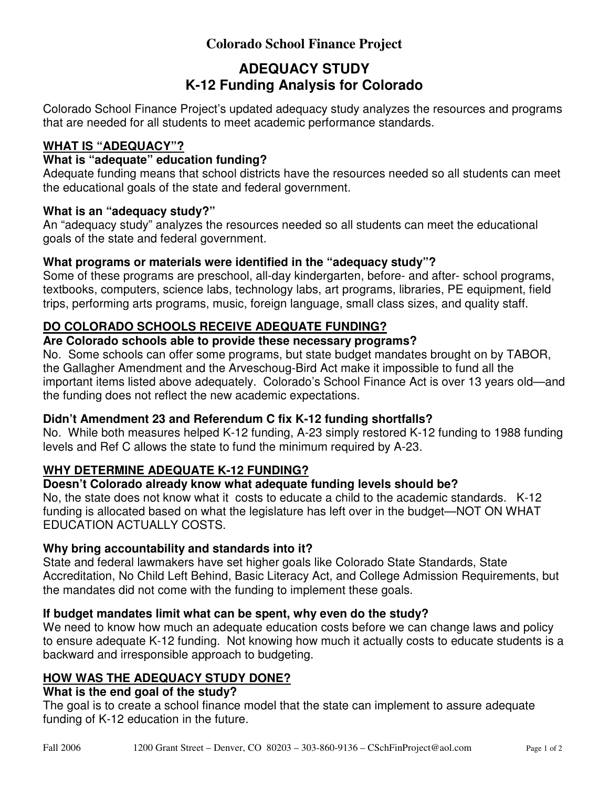# **Colorado School Finance Project**

# **ADEQUACY STUDY K-12 Funding Analysis for Colorado**

Colorado School Finance Project's updated adequacy study analyzes the resources and programs that are needed for all students to meet academic performance standards.

## **WHAT IS "ADEQUACY"?**

## **What is "adequate" education funding?**

Adequate funding means that school districts have the resources needed so all students can meet the educational goals of the state and federal government.

#### **What is an "adequacy study?"**

An "adequacy study" analyzes the resources needed so all students can meet the educational goals of the state and federal government.

#### **What programs or materials were identified in the "adequacy study"?**

Some of these programs are preschool, all-day kindergarten, before- and after- school programs, textbooks, computers, science labs, technology labs, art programs, libraries, PE equipment, field trips, performing arts programs, music, foreign language, small class sizes, and quality staff.

## **DO COLORADO SCHOOLS RECEIVE ADEQUATE FUNDING?**

#### **Are Colorado schools able to provide these necessary programs?**

No. Some schools can offer some programs, but state budget mandates brought on by TABOR, the Gallagher Amendment and the Arveschoug-Bird Act make it impossible to fund all the important items listed above adequately. Colorado's School Finance Act is over 13 years old—and the funding does not reflect the new academic expectations.

## **Didn't Amendment 23 and Referendum C fix K-12 funding shortfalls?**

No. While both measures helped K-12 funding, A-23 simply restored K-12 funding to 1988 funding levels and Ref C allows the state to fund the minimum required by A-23.

## **WHY DETERMINE ADEQUATE K-12 FUNDING?**

## **Doesn't Colorado already know what adequate funding levels should be?**

No, the state does not know what it costs to educate a child to the academic standards. K-12 funding is allocated based on what the legislature has left over in the budget—NOT ON WHAT EDUCATION ACTUALLY COSTS.

#### **Why bring accountability and standards into it?**

State and federal lawmakers have set higher goals like Colorado State Standards, State Accreditation, No Child Left Behind, Basic Literacy Act, and College Admission Requirements, but the mandates did not come with the funding to implement these goals.

## **If budget mandates limit what can be spent, why even do the study?**

We need to know how much an adequate education costs before we can change laws and policy to ensure adequate K-12 funding. Not knowing how much it actually costs to educate students is a backward and irresponsible approach to budgeting.

## **HOW WAS THE ADEQUACY STUDY DONE?**

#### **What is the end goal of the study?**

The goal is to create a school finance model that the state can implement to assure adequate funding of K-12 education in the future.